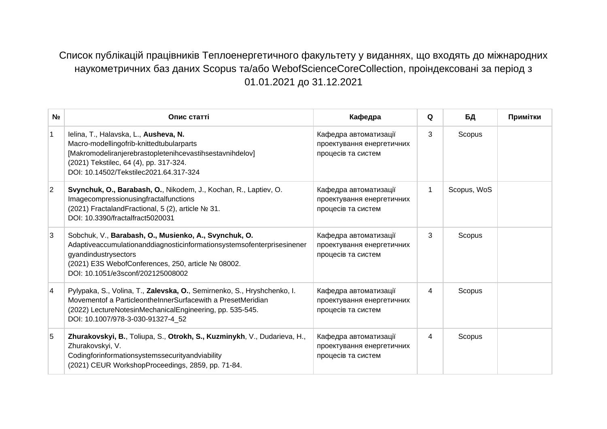## Список публікацій працівників Теплоенергетичного факультету у виданнях, що входять до міжнародних наукометричних баз даних Scopus та/або WebofScienceCoreCollection, проіндексовані за період з 01.01.2021 до 31.12.2021

| N <sub>2</sub> | Опис статті                                                                                                                                                                                                                                        | Кафедра                                                                  | Q | БД          | Примітки |
|----------------|----------------------------------------------------------------------------------------------------------------------------------------------------------------------------------------------------------------------------------------------------|--------------------------------------------------------------------------|---|-------------|----------|
| $\mathbf{1}$   | Ielina, T., Halavska, L., Ausheva, N.<br>Macro-modellingofrib-knittedtubularparts<br>[Makromodeliranjerebrastopletenihcevastihsestavnihdelov]<br>(2021) Tekstilec, 64 (4), pp. 317-324.<br>DOI: 10.14502/Tekstilec2021.64.317-324                  | Кафедра автоматизації<br>проектування енергетичних<br>процесів та систем | 3 | Scopus      |          |
| $\overline{2}$ | Svynchuk, O., Barabash, O., Nikodem, J., Kochan, R., Laptiev, O.<br>Imagecompressionusingfractalfunctions<br>(2021) FractalandFractional, 5 (2), article № 31.<br>DOI: 10.3390/fractalfract5020031                                                 | Кафедра автоматизації<br>проектування енергетичних<br>процесів та систем | 1 | Scopus, WoS |          |
| 3              | Sobchuk, V., Barabash, O., Musienko, A., Svynchuk, O.<br>Adaptiveaccumulationanddiagnosticinformationsystemsofenterprisesinener<br>gyandindustrysectors<br>(2021) E3S WebofConferences, 250, article № 08002.<br>DOI: 10.1051/e3sconf/202125008002 | Кафедра автоматизації<br>проектування енергетичних<br>процесів та систем | 3 | Scopus      |          |
| $\overline{4}$ | Pylypaka, S., Volina, T., Zalevska, O., Semirnenko, S., Hryshchenko, I.<br>Movementof a Particleonthe Inner Surface with a Preset Meridian<br>(2022) LectureNotesinMechanicalEngineering, pp. 535-545.<br>DOI: 10.1007/978-3-030-91327-4_52        | Кафедра автоматизації<br>проектування енергетичних<br>процесів та систем | 4 | Scopus      |          |
| 5              | Zhurakovskyi, B., Toliupa, S., Otrokh, S., Kuzminykh, V., Dudarieva, H.,<br>Zhurakovskyi, V.<br>Codingforinformationsystemssecurityandviability<br>(2021) CEUR WorkshopProceedings, 2859, pp. 71-84.                                               | Кафедра автоматизації<br>проектування енергетичних<br>процесів та систем | 4 | Scopus      |          |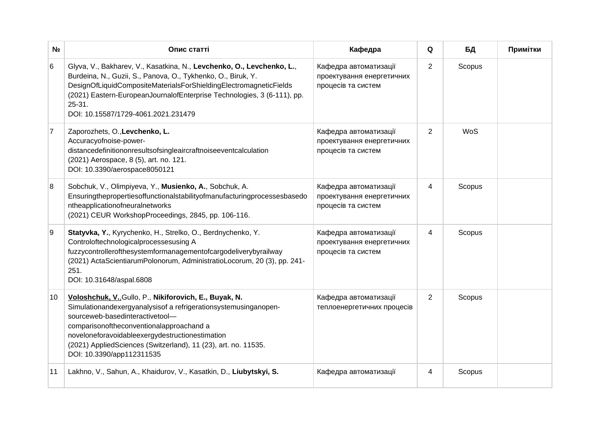| N∘        | Опис статті                                                                                                                                                                                                                                                                                                                                                | Кафедра                                                                  | Q              | БД         | Примітки |
|-----------|------------------------------------------------------------------------------------------------------------------------------------------------------------------------------------------------------------------------------------------------------------------------------------------------------------------------------------------------------------|--------------------------------------------------------------------------|----------------|------------|----------|
| 6         | Glyva, V., Bakharev, V., Kasatkina, N., Levchenko, O., Levchenko, L.,<br>Burdeina, N., Guzii, S., Panova, O., Tykhenko, O., Biruk, Y.<br>DesignOfLiquidCompositeMaterialsForShieldingElectromagneticFields<br>(2021) Eastern-EuropeanJournalofEnterprise Technologies, 3 (6-111), pp.<br>25-31.<br>DOI: 10.15587/1729-4061.2021.231479                     | Кафедра автоматизації<br>проектування енергетичних<br>процесів та систем | $\overline{c}$ | Scopus     |          |
| $\vert$ 7 | Zaporozhets, O., Levchenko, L.<br>Accuracyofnoise-power-<br>distancedefinitiononresultsofsingleaircraftnoiseeventcalculation<br>(2021) Aerospace, 8 (5), art. no. 121.<br>DOI: 10.3390/aerospace8050121                                                                                                                                                    | Кафедра автоматизації<br>проектування енергетичних<br>процесів та систем | $\overline{2}$ | <b>WoS</b> |          |
| 8         | Sobchuk, V., Olimpiyeva, Y., Musienko, A., Sobchuk, A.<br>Ensuringthepropertiesoffunctionalstabilityofmanufacturingprocessesbasedo<br>ntheapplicationofneuralnetworks<br>(2021) CEUR WorkshopProceedings, 2845, pp. 106-116.                                                                                                                               | Кафедра автоматизації<br>проектування енергетичних<br>процесів та систем | 4              | Scopus     |          |
| 9         | Statyvka, Y., Kyrychenko, H., Strelko, O., Berdnychenko, Y.<br>Controloftechnologicalprocessesusing A<br>fuzzycontrollerofthesystemformanagementofcargodeliverybyrailway<br>(2021) ActaScientiarumPolonorum, AdministratioLocorum, 20 (3), pp. 241-<br>251.<br>DOI: 10.31648/aspal.6808                                                                    | Кафедра автоматизації<br>проектування енергетичних<br>процесів та систем | 4              | Scopus     |          |
| 10        | Voloshchuk, V., Gullo, P., Nikiforovich, E., Buyak, N.<br>Simulationandexergyanalysisof a refrigerationsystemusinganopen-<br>sourceweb-basedinteractivetool-<br>comparisonoftheconventionalapproachand a<br>noveloneforavoidableexergydestructionestimation<br>(2021) AppliedSciences (Switzerland), 11 (23), art. no. 11535.<br>DOI: 10.3390/app112311535 | Кафедра автоматизації<br>теплоенергетичних процесів                      | $\overline{2}$ | Scopus     |          |
| 11        | Lakhno, V., Sahun, A., Khaidurov, V., Kasatkin, D., Liubytskyi, S.                                                                                                                                                                                                                                                                                         | Кафедра автоматизації                                                    | 4              | Scopus     |          |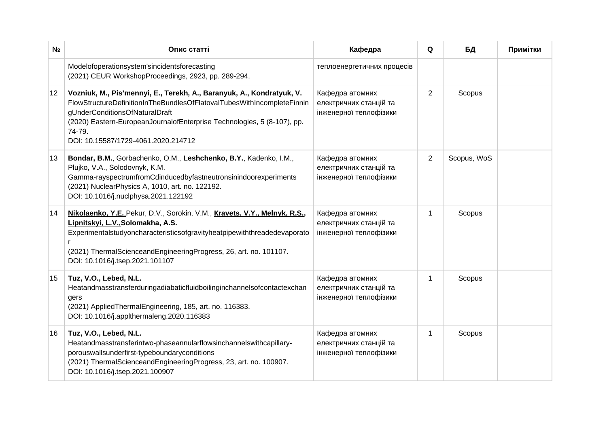| N∘ | Опис статті                                                                                                                                                                                                                                                                                                   | Кафедра                                                             | Q              | БД          | Примітки |
|----|---------------------------------------------------------------------------------------------------------------------------------------------------------------------------------------------------------------------------------------------------------------------------------------------------------------|---------------------------------------------------------------------|----------------|-------------|----------|
|    | Modelofoperationsystem'sincidentsforecasting<br>(2021) CEUR WorkshopProceedings, 2923, pp. 289-294.                                                                                                                                                                                                           | теплоенергетичних процесів                                          |                |             |          |
| 12 | Vozniuk, M., Pis'mennyi, E., Terekh, A., Baranyuk, A., Kondratyuk, V.<br>FlowStructureDefinitionInTheBundlesOfFlatovalTubesWithIncompleteFinnin<br>gUnderConditionsOfNaturalDraft<br>(2020) Eastern-EuropeanJournalofEnterprise Technologies, 5 (8-107), pp.<br>74-79.<br>DOI: 10.15587/1729-4061.2020.214712 | Кафедра атомних<br>електричних станцій та<br>інженерної теплофізики | $\overline{2}$ | Scopus      |          |
| 13 | Bondar, B.M., Gorbachenko, O.M., Leshchenko, B.Y., Kadenko, I.M.,<br>Plujko, V.A., Solodovnyk, K.M.<br>Gamma-rayspectrumfromCdinducedbyfastneutronsinindoorexperiments<br>(2021) NuclearPhysics A, 1010, art. no. 122192.<br>DOI: 10.1016/j.nuclphysa.2021.122192                                             | Кафедра атомних<br>електричних станцій та<br>інженерної теплофізики | $\overline{2}$ | Scopus, WoS |          |
| 14 | Nikolaenko, Y.E., Pekur, D.V., Sorokin, V.M., Kravets, V.Y., Melnyk, R.S.,<br>Lipnitskyi, L.V., Solomakha, A.S.<br>Experimentalstudyoncharacteristicsofgravityheatpipewiththreadedevaporato<br>r<br>(2021) ThermalScienceandEngineeringProgress, 26, art. no. 101107.<br>DOI: 10.1016/j.tsep.2021.101107      | Кафедра атомних<br>електричних станцій та<br>інженерної теплофізики | 1              | Scopus      |          |
| 15 | Tuz, V.O., Lebed, N.L.<br>Heatandmasstransferduringadiabaticfluidboilinginchannelsofcontactexchan<br>gers<br>(2021) Applied Thermal Engineering, 185, art. no. 116383.<br>DOI: 10.1016/j.applthermaleng.2020.116383                                                                                           | Кафедра атомних<br>електричних станцій та<br>інженерної теплофізики | 1              | Scopus      |          |
| 16 | Tuz, V.O., Lebed, N.L.<br>Heatandmasstransferintwo-phaseannularflowsinchannelswithcapillary-<br>porouswallsunderfirst-typeboundaryconditions<br>(2021) ThermalScienceandEngineeringProgress, 23, art. no. 100907.<br>DOI: 10.1016/j.tsep.2021.100907                                                          | Кафедра атомних<br>електричних станцій та<br>інженерної теплофізики | $\mathbf{1}$   | Scopus      |          |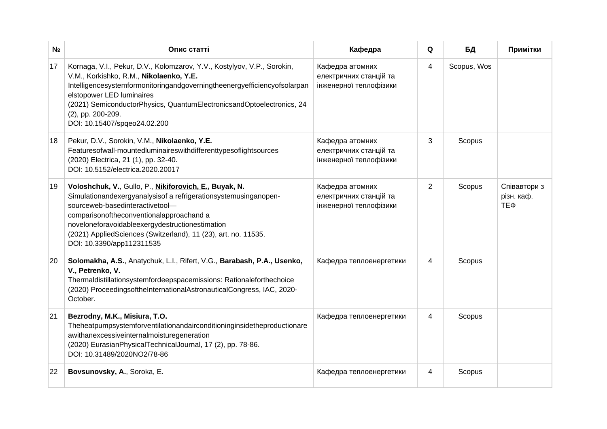| N∘ | Опис статті                                                                                                                                                                                                                                                                                                                                                | Кафедра                                                             | Q | БД          | Примітки                          |
|----|------------------------------------------------------------------------------------------------------------------------------------------------------------------------------------------------------------------------------------------------------------------------------------------------------------------------------------------------------------|---------------------------------------------------------------------|---|-------------|-----------------------------------|
| 17 | Kornaga, V.I., Pekur, D.V., Kolomzarov, Y.V., Kostylyov, V.P., Sorokin,<br>V.M., Korkishko, R.M., Nikolaenko, Y.E.<br>Intelligencesystemformonitoringandgoverningtheenergyefficiencyofsolarpan<br>elstopower LED luminaires<br>(2021) SemiconductorPhysics, QuantumElectronicsandOptoelectronics, 24<br>(2), pp. 200-209.<br>DOI: 10.15407/spgeo24.02.200  | Кафедра атомних<br>електричних станцій та<br>інженерної теплофізики | 4 | Scopus, Wos |                                   |
| 18 | Pekur, D.V., Sorokin, V.M., Nikolaenko, Y.E.<br>Featuresofwall-mountedluminaireswithdifferenttypesoflightsources<br>(2020) Electrica, 21 (1), pp. 32-40.<br>DOI: 10.5152/electrica.2020.20017                                                                                                                                                              | Кафедра атомних<br>електричних станцій та<br>інженерної теплофізики | 3 | Scopus      |                                   |
| 19 | Voloshchuk, V., Gullo, P., Nikiforovich, E., Buyak, N.<br>Simulationandexergyanalysisof a refrigerationsystemusinganopen-<br>sourceweb-basedinteractivetool-<br>comparisonoftheconventionalapproachand a<br>noveloneforavoidableexergydestructionestimation<br>(2021) AppliedSciences (Switzerland), 11 (23), art. no. 11535.<br>DOI: 10.3390/app112311535 | Кафедра атомних<br>електричних станцій та<br>інженерної теплофізики | 2 | Scopus      | Співавтори з<br>різн. каф.<br>ТЕФ |
| 20 | Solomakha, A.S., Anatychuk, L.I., Rifert, V.G., Barabash, P.A., Usenko,<br>V., Petrenko, V.<br>Thermaldistillationsystemfordeepspacemissions: Rationaleforthechoice<br>(2020) ProceedingsoftheInternationalAstronauticalCongress, IAC, 2020-<br>October.                                                                                                   | Кафедра теплоенергетики                                             | 4 | Scopus      |                                   |
| 21 | Bezrodny, M.K., Misiura, T.O.<br>Theheatpumpsystemforventilationandairconditioninginsidetheproductionare<br>awithanexcessiveinternalmoisturegeneration<br>(2020) EurasianPhysicalTechnicalJournal, 17 (2), pp. 78-86.<br>DOI: 10.31489/2020NO2/78-86                                                                                                       | Кафедра теплоенергетики                                             | 4 | Scopus      |                                   |
| 22 | Bovsunovsky, A., Soroka, E.                                                                                                                                                                                                                                                                                                                                | Кафедра теплоенергетики                                             | 4 | Scopus      |                                   |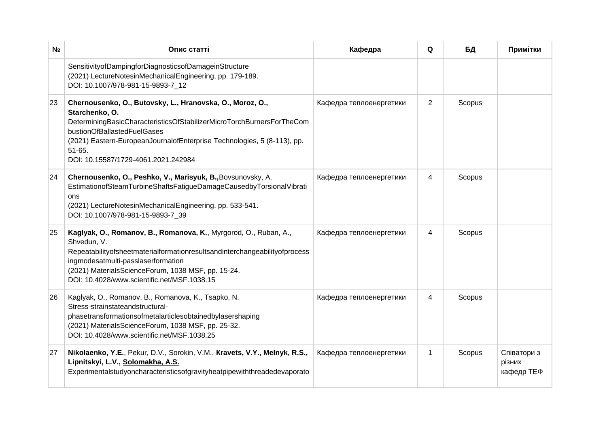| N∘ | Опис статті                                                                                                                                                                                                                                                                                                       | Кафедра                 | Q              | БД     | Примітки                            |
|----|-------------------------------------------------------------------------------------------------------------------------------------------------------------------------------------------------------------------------------------------------------------------------------------------------------------------|-------------------------|----------------|--------|-------------------------------------|
|    | SensitivityofDampingforDiagnosticsofDamageinStructure<br>(2021) LectureNotesinMechanicalEngineering, pp. 179-189.<br>DOI: 10.1007/978-981-15-9893-7 12                                                                                                                                                            |                         |                |        |                                     |
| 23 | Chernousenko, O., Butovsky, L., Hranovska, O., Moroz, O.,<br>Starchenko, O.<br>DeterminingBasicCharacteristicsOfStabilizerMicroTorchBurnersForTheCom<br>bustionOfBallastedFuelGases<br>(2021) Eastern-EuropeanJournalofEnterprise Technologies, 5 (8-113), pp.<br>$51-65.$<br>DOI: 10.15587/1729-4061.2021.242984 | Кафедра теплоенергетики | $\overline{2}$ | Scopus |                                     |
| 24 | Chernousenko, O., Peshko, V., Marisyuk, B., Bovsunovsky, A.<br>EstimationofSteamTurbineShaftsFatigueDamageCausedbyTorsionalVibrati<br>ons<br>(2021) LectureNotesinMechanicalEngineering, pp. 533-541.<br>DOI: 10.1007/978-981-15-9893-7 39                                                                        | Кафедра теплоенергетики | 4              | Scopus |                                     |
| 25 | Kaglyak, O., Romanov, B., Romanova, K., Myrgorod, O., Ruban, A.,<br>Shvedun, V.<br>Repeatabilityofsheetmaterialformationresultsandinterchangeabilityofprocess<br>ingmodesatmulti-passlaserformation<br>(2021) MaterialsScienceForum, 1038 MSF, pp. 15-24.<br>DOI: 10.4028/www.scientific.net/MSF.1038.15          | Кафедра теплоенергетики | 4              | Scopus |                                     |
| 26 | Kaglyak, O., Romanov, B., Romanova, K., Tsapko, N.<br>Stress-strainstateandstructural-<br>phasetransformationsofmetalarticlesobtainedbylasershaping<br>(2021) MaterialsScienceForum, 1038 MSF, pp. 25-32.<br>DOI: 10.4028/www.scientific.net/MSF.1038.25                                                          | Кафедра теплоенергетики | 4              | Scopus |                                     |
| 27 | Nikolaenko, Y.E., Pekur, D.V., Sorokin, V.M., Kravets, V.Y., Melnyk, R.S.,<br>Lipnitskyi, L.V., Solomakha, A.S.<br>Experimentalstudyoncharacteristicsofgravityheatpipewiththreadedevaporato                                                                                                                       | Кафедра теплоенергетики | $\mathbf{1}$   | Scopus | Співатори з<br>різних<br>кафедр ТЕФ |